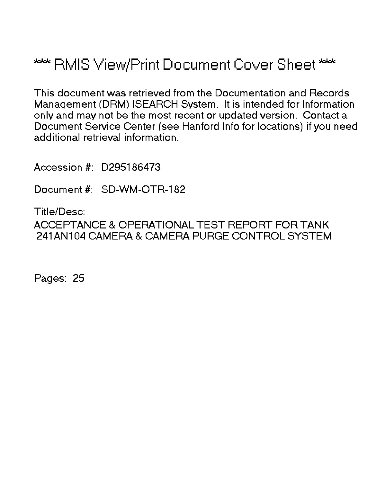# \*\*\* RMIS View/Print Document Cover Sheet \*\*\*

This document was retrieved from the Documentation and Records Manaqement (DRM) ISEARCH System. It is intended for Information only and may not be the most recent or updated version. Contact a Document Service Center (see Hanford Info for locations) if you need additional retrieval information.

Accession #: D295186473

Document #: SD-WM-OTR-182

Title/Desc: ACCEPTANCE & OPERATIONAL TEST REPORT FOR TANK 241AN104 CAMERA & CAMERA PURGE CONTROL SYSTEM

Pages: 25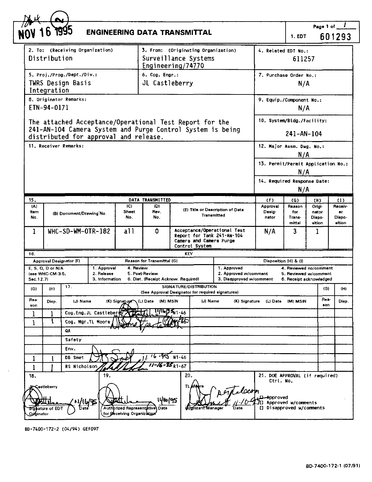|                                                                                                                                     | 6 1993                                                                                                                                                         |                                             | <b>ENGINEERING DATA TRANSMITTAL</b> |                                                                                                             |                                  |                        |                                                                  |                                   | 1. EDT                            | Page 1 of $\frac{1}{2}$                                                    | 601293                             |
|-------------------------------------------------------------------------------------------------------------------------------------|----------------------------------------------------------------------------------------------------------------------------------------------------------------|---------------------------------------------|-------------------------------------|-------------------------------------------------------------------------------------------------------------|----------------------------------|------------------------|------------------------------------------------------------------|-----------------------------------|-----------------------------------|----------------------------------------------------------------------------|------------------------------------|
| 2. To: (Receiving Organization)<br>3. From: (Originating Organization)<br>Distribution<br>Surveillance Systems<br>Engineering/74770 |                                                                                                                                                                |                                             |                                     |                                                                                                             | 4. Related EDT No.:<br>611257    |                        |                                                                  |                                   |                                   |                                                                            |                                    |
| 5. Proj./Prog./Dept./Div.:<br><b>TWRS Design Basis</b><br>Integration                                                               |                                                                                                                                                                |                                             |                                     |                                                                                                             | 6. Cog. Engr.:<br>JL Castleberry |                        |                                                                  | 7. Purchase Order No.:<br>N/A     |                                   |                                                                            |                                    |
|                                                                                                                                     | 8. Originator Remarks:<br>ETN-94-0171                                                                                                                          |                                             |                                     |                                                                                                             |                                  |                        |                                                                  | 9. Equip./Component No.:          | N/A                               |                                                                            |                                    |
|                                                                                                                                     | The attached Acceptance/Operational Test Report for the<br>241-AN-104 Camera System and Purge Control System is being<br>distributed for approval and release. |                                             |                                     |                                                                                                             |                                  |                        |                                                                  | 10. System/Bldg./Facility:        | $241 - AN - 104$                  |                                                                            |                                    |
|                                                                                                                                     | 11. Receiver Remarks:                                                                                                                                          |                                             |                                     |                                                                                                             |                                  |                        |                                                                  | 12. Major Assm. Dwg. No.:         | N/A                               |                                                                            |                                    |
|                                                                                                                                     |                                                                                                                                                                |                                             |                                     |                                                                                                             |                                  |                        |                                                                  |                                   | N/A                               | 13. Permit/Permit Application No.:                                         |                                    |
|                                                                                                                                     |                                                                                                                                                                |                                             |                                     |                                                                                                             |                                  |                        |                                                                  | 14. Required Response Date:       | N/A                               |                                                                            |                                    |
| 15.                                                                                                                                 |                                                                                                                                                                |                                             |                                     | DATA TRANSMITTED                                                                                            |                                  |                        |                                                                  | (F)                               | (G)                               | (H)                                                                        | $\left(1\right)$                   |
| (A)<br>Item<br>No.                                                                                                                  |                                                                                                                                                                | (B) Document/Drawing No.                    | (C)<br>Shoot<br>No.                 | (D)<br>Rev.<br>No.                                                                                          |                                  | <b>Transmitted</b>     | (E) Title or Description of Data                                 | Approval<br>Desig-<br>nator       | Reason<br>for<br>Trans-<br>mittal | Origi-<br>nator<br>Dispo-<br>sition                                        | Receiv-<br>er.<br>Dispo-<br>sition |
| $\mathbf 1$                                                                                                                         | WHC-SD-WM-OTR-182                                                                                                                                              |                                             | a11                                 | Acceptance/Operational Test<br>o<br>Report for Tank 241-AN-104<br>Camera and Camera Purge<br>Control System |                                  |                        |                                                                  | N/A                               | 3                                 | <b>I</b>                                                                   |                                    |
| 16.                                                                                                                                 |                                                                                                                                                                |                                             |                                     |                                                                                                             | KEY.                             |                        |                                                                  |                                   |                                   |                                                                            |                                    |
|                                                                                                                                     | Approval Designator (F)                                                                                                                                        |                                             |                                     | Reason for Transmittal (G)                                                                                  |                                  |                        |                                                                  |                                   | Disposition (H) & (I)             |                                                                            |                                    |
| Sec. 12.7)                                                                                                                          | E. S. Q. D or N/A<br>Isee WHC-CM-3-5.                                                                                                                          | 1. Approval<br>2. Release<br>3. Information | 4 Review                            | 5. Post-Review<br>6. Dist. (Receipt Acknow, Required)                                                       |                                  |                        | 1. Approved<br>2. Approved w/comment<br>3. Disapproved w/comment |                                   |                                   | 4. Reviewed no/comment<br>5. Reviewed w/comment<br>6. Receipt acknowledged |                                    |
| (G)                                                                                                                                 | 17 <sub>1</sub><br>(H)                                                                                                                                         |                                             |                                     | (See Approval Designator for required signatures)                                                           |                                  | SIGNATURE/DISTRIBUTION |                                                                  |                                   |                                   | (G)                                                                        | (H)                                |
| Rea-<br>son                                                                                                                         | Disp.                                                                                                                                                          | (J) Name                                    | (K) Signature                       | (M) MSIN<br>(L) Date                                                                                        |                                  | (J) Name               | (K) Signature                                                    | (L) Date                          | (M) MSIN                          | Rea-<br><b>con</b>                                                         | Diep.                              |
| 1                                                                                                                                   | 1                                                                                                                                                              | Cog.Eng.JL Castleberny<br>Cog. Mgr.TL Moore |                                     |                                                                                                             | ागाज्βद्ग <sub>ा -46</sub>       |                        |                                                                  |                                   |                                   |                                                                            |                                    |
|                                                                                                                                     | QA                                                                                                                                                             |                                             |                                     |                                                                                                             |                                  |                        |                                                                  |                                   |                                   |                                                                            |                                    |
|                                                                                                                                     | Safety                                                                                                                                                         |                                             |                                     |                                                                                                             |                                  |                        |                                                                  |                                   |                                   |                                                                            |                                    |
|                                                                                                                                     | Env.<br>DB Smet                                                                                                                                                |                                             |                                     |                                                                                                             | $N1 - 46$                        |                        |                                                                  |                                   |                                   |                                                                            |                                    |
| 1<br>1                                                                                                                              |                                                                                                                                                                | RS Nicholson                                |                                     | $7 - 16 - 25$ <sub>R1-67</sub>                                                                              |                                  |                        |                                                                  |                                   |                                   |                                                                            |                                    |
| 18.                                                                                                                                 |                                                                                                                                                                | 19.                                         |                                     |                                                                                                             | 20.                              |                        |                                                                  |                                   |                                   | 21. DOE APPROVAL (if required)                                             |                                    |
|                                                                                                                                     | <b>In Castleberry</b>                                                                                                                                          | /16/95                                      |                                     | 1460/95                                                                                                     | <b>TL MA</b>                     |                        | ilocop                                                           | Ctrl. No.<br><del>A</del> pproved | Approved w/comments               |                                                                            |                                    |

BD-7400-172-2 (04/94) GEF097

 $\sim$   $\sim$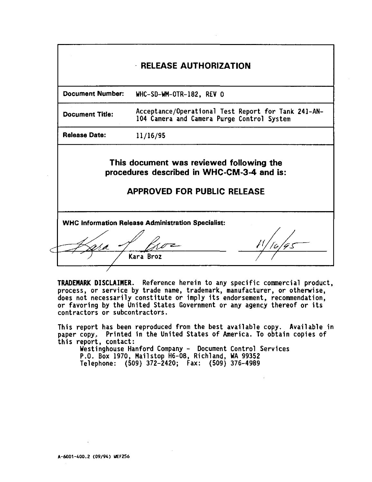**Document Number: WHC-SD-WM-OTR-182, REV 0**

**Document Title: Acceptance/Operational Test Report for Tank 241-AN-104 Camera and Camera Purge Control System**

**Release Date: 11/16/95**

**This document was reviewed following the procedures described in WHC-CM-3-4 and is:**

# **APPROVED FOR PUBLIC RELEASE**

**W H C Information Release Administration Specialist:**

Kara Broz

**TRADEMARK DISCLAIMER. Reference herein to any specific commercial product, process, or service by trade name, trademark, manufacturer, or otherwise, does not necessarily constitute or imply its endorsement, recommendation, or favoring by the United States Government or any agency thereof or its contractors or subcontractors.**

**This report has been reproduced from the best available copy. Available in paper copy.. Printed in the United States of America. To obtain copies of this report, contact:**

**Westinghouse Hanford Company - Document Control Services P.O. Box 1970, Mailstop H6-08, Richland, WA 99352 Telephone: (509) 372-2420; Fax: (509) 376-4989**

**A-6001-400.2 (09/94) UEF256**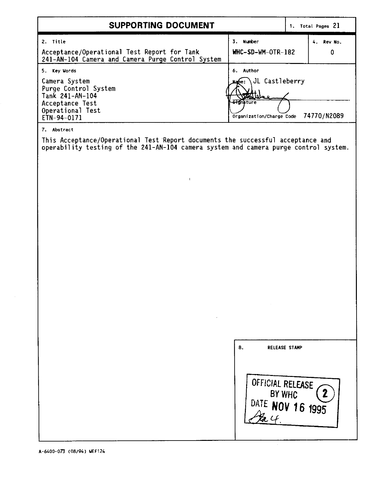| SUPPORTING DOCUMENT                                                                                                              | 1. Total Pages 21                                                                                                   |                |  |
|----------------------------------------------------------------------------------------------------------------------------------|---------------------------------------------------------------------------------------------------------------------|----------------|--|
| 2. Title<br>Acceptance/Operational Test Report for Tank<br>241-AN-104 Camera and Camera Purge Control System                     | Number<br>3.<br>WHC-SD-WM-OTR-182                                                                                   | 4 Rev No.<br>0 |  |
| 5. Key Words<br>Camera System<br>Purge Control System<br>Tank 241-AN-104<br>Acceptance Test<br>Operational Test<br>  ETN-94-0171 | Author<br>6.<br>Mame: JL Castleberry<br><b>TARTIOLO</b><br><b>Signature</b><br>Organization/Charge Code 74770/N2089 |                |  |

7. Abstract

f

This Acceptance/Operational Test Report documents the successful acceptance and operability testing of the 241-AN-104 camera system and camera purge control system

 $\sim 1$ 

| 8. | <b>RELEASE STAMP</b>                           |
|----|------------------------------------------------|
|    | OFFICIAL RELEASE<br>BY WHC<br>DATE NOV 16 1995 |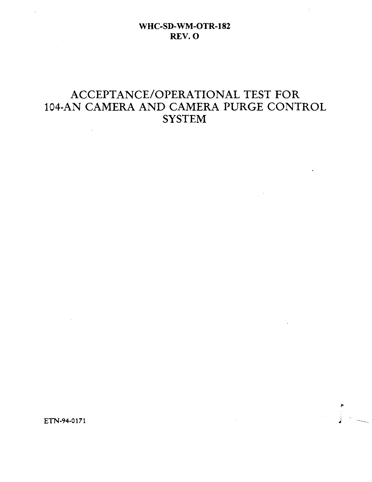# ACCEPTANCE/OPERATIONAL TEST FOR 104-AN CAMERA AND CAMERA PURGE CONTROL **SYSTEM**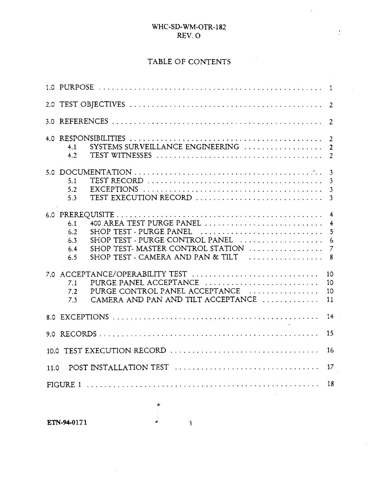i.

 $\frac{1}{2}$ 

# TABLE OF CONTENTS

| 4 O. | SYSTEMS SURVEILLANCE ENGINEERING<br>4.1<br>4.2                                                                                                                                                                                     | $\overline{2}$<br>$\overline{2}$        |
|------|------------------------------------------------------------------------------------------------------------------------------------------------------------------------------------------------------------------------------------|-----------------------------------------|
|      | 51<br>5.2<br>TEST EXECUTION RECORD<br>5.3                                                                                                                                                                                          | 3<br>3<br>3<br>-3                       |
|      | 400 AREA TEST PURGE PANEL<br>6.1<br>SHOP TEST - PURGE PANEL<br>6.2<br>SHOP TEST - PURGE CONTROL PANEL<br>6.3<br>SHOP TEST- MASTER CONTROL STATION<br>6.4<br>SHOP TEST - CAMERA AND PAN & TILT $\ldots \ldots \ldots \ldots$<br>6.5 | $\overline{4}$<br>4<br>5<br>6<br>7<br>8 |
|      | 7.0 ACCEPTANCE/OPERABILITY TEST<br>PURGE PANEL ACCEPTANCE<br>7.1<br>PURGE CONTROL PANEL ACCEPTANCE<br>7.2<br>CAMERA AND PAN AND TILT ACCEPTANCE<br>7.3                                                                             | 10<br>10<br>10<br>11                    |
|      |                                                                                                                                                                                                                                    | 14                                      |
|      |                                                                                                                                                                                                                                    | 15                                      |
|      | 10.0 TEST EXECUTION RECORD                                                                                                                                                                                                         | 16                                      |
| 11.0 |                                                                                                                                                                                                                                    | 17                                      |
|      |                                                                                                                                                                                                                                    | 18                                      |

 $\begin{array}{ccc}\n\bullet & \bullet & \bullet & \bullet \\
\bullet & \bullet & \bullet & \bullet\n\end{array}$ 

 $\bar{z}$ 

 $\mathbf{i}$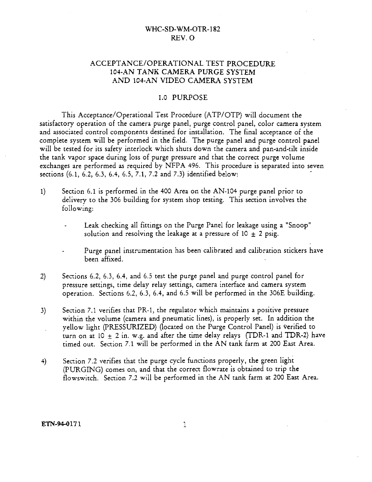### ACCEPTANCE/OPERATIONAL TEST PROCEDURE 104-AN TANK CAMERA PURGE SYSTEM AND 104-AN VIDEO CAMERA SYSTEM

#### 1.0 PURPOSE

This Acceptance/Operational Test Procedure (ATP/OTP) will document the satisfactory operation of the camera purge panel, purge control panel, color camera system and associated control components destined for installation. The final acceptance of the complete system will be performed in the field. The purge panel and purge control panel will be tested for its safety interlock which shuts down the camera and pan-and-tilt inside the tank vapor space during loss of purge pressure and that the correct purge volume exchanges are performed as required by NFPA 496. This procedure is separated into seven sections (6.1, 6.2, 6.3, 6.4, 6.5, 7.1, 7.2 and 7.3) identified below:

- 1) Section 6.1 is performed in the 400 Area on the AN-104 purge panel prior to delivery to the 306 building for system shop testing. This section involves the following:
	- Leak checking all fittings on the Purge Panel for leakage using a "Snoop" solution and resolving the leakage at a pressure of 10  $\pm$  2 psig.
	- Purge panel instrumentation has been calibrated and calibration stickers have been affixed.
- 2) Sections 6.2, 6.3, 6.4, and 6.5 test the purge panel and purge control panel for pressure settings, time delay relay settings, camera interface and camera system operation. Sections 6.2, 6.3, 6.4, and 6.5 will be performed in the 306E building.
- 3) Section 7.1 verifies that PR-1, the regulator which maintains a positive pressure within the volume (camera and pneumatic lines), is properly set. In addition the yellow light (PRESSURIZED) (located on the Purge Control Panel) is verified to turn on at  $10 + 2$  in. w.g. and after the time delay relays (TDR-1 and TDR-2) have timed out. Section 7.1 will be performed in the AN tank farm at 200 East Area.
- 4) Section 7.2 verifies that the purge cycle functions properly, the green light (PURGING) comes on, and that the correct flowrate is obtained to trip the flowswitch. Section 7.2 will be performed in the AN tank farm at 200 East Area.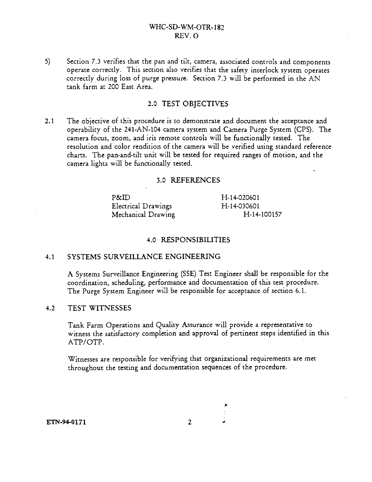5) Section 7.3 verifies that the pan and tilt, camera, associated controls and components operate correctly. This section also verifies that the safety interlock system operates correctly during loss of purge pressure. Section 7.3 will be performed in the AN tank farm at 200 East Area.

### 2.0 TEST OBJECTIVES

2.1 The objective of this procedure is to demonstrate and document the acceptance and operability of the 241-AN-104 camera system and Camera Purge System (CPS). The camera focus, zoom, and iris remote controls will be functionally tested. The resolution and color rendition of the camera will be verified using standard reference charts. The pan-and-tilt unit will be tested for required ranges of motion, and the camera lights will be functionally tested.

#### 3.0 **REFERENCES**

| P&ID.               | H-14-020601 |
|---------------------|-------------|
| Electrical Drawings | H-14-030601 |
| Mechanical Drawing  | H-14-100157 |

#### **4.0 RESPONSIBILITIES**

#### **4.1 SYSTEMS SURVEILLANCE ENGINEERING**

A Systems Surveillance Engineering (SSE) Test Engineer shall be responsible for the coordination, scheduling, performance and documentation of this test procedure. The Purge System Engineer will be responsible for acceptance of section 6.1.

#### 4.2 TEST WITNESSES

Tank Farm Operations and Quality Assurance will provide a representative to witness the satisfactory completion and approval of pertinent steps identified in this ATP/OTP.

Witnesses are responsible for verifying that organizational requirements are met throughout the testing and documentation sequences of the procedure.

**ETN-94-0171**

 $\overline{2}$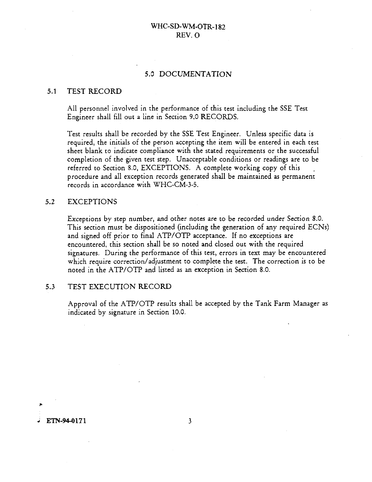#### 5.0 DOCUMENTATION

#### 5.1 TEST RECORD

All personnel involved in the performance of this test including the SSE Test Engineer shall fill out a line in Section 9.0 RECORDS.

Test results shall be recorded by the SSE Test Engineer. Unless specific data is required, the initials of the person accepting the item will be entered in each test sheet blank to indicate compliance with the stated requirements or the successful completion of the given test step. Unacceptable conditions or readings are to be referred to Section 8.0, EXCEPTIONS. A complete working copy of this procedure and all exception records generated shall be maintained as permanent records in accordance with WHC-CM-3-5.

#### 5.2 EXCEPTIONS

Exceptions by step number, and other notes are to be recorded under Section 8.0. This section must be dispositioned (including the generation of any required ECNs) and signed off prior to final ATP/OTP acceptance. If no exceptions are encountered, this section shall be so noted and closed out with the required signatures. During the performance of this test, errors in text may be encountered which require correction/adjustment to complete the test. The correction is to be noted in the ATP/OTP and listed as an exception in Section 8.0.

#### 5.3 TEST EXECUTION RECORD

Approval of the ATP/OTP results shall be accepted by the Tank Farm Manager as indicated by signature in Section 10.0.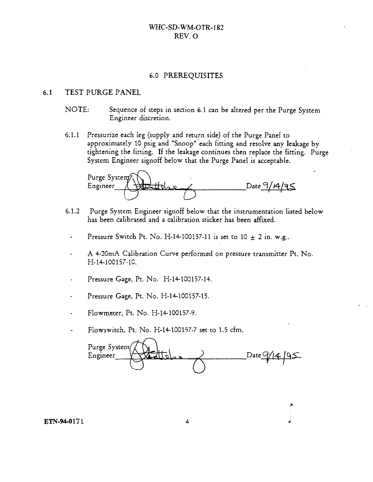#### 6.0 PREREQUISITES

#### 6.1 TEST PURGE PANEL

- NOTE: Sequence of steps in section 6.1 can be altered per the Purge System Engineer discretion.
- 6.1.1 Pressurize each leg (supply and return side) of the Purge Panel to approximately 10 psig and "Snoop" each fitting and resolve any leakage by tightening the fitting. If the leakage continues then replace the fitting. Purge System Engineer signoff below that the Purge Panel is acceptable.

Purge System  $Engimeter \frac{\sqrt{322}}{10}$ 

- 6.1.2 Purge System Engineer signoff below that the instrumentation listed below has been calibrated and a calibration sticker has been affixed.
	- Pressure Switch Pt. No. H-14-100157-11 is set to  $10 \pm 2$  in. w.g..
	- A 4-20mA Calibration Curve performed on pressure transmitter Pt. No. H-14-100157-10.
	- Pressure Gage, Pt. No. H-14-100157-14. Pressure Gage, Pt. No. H-14-100157-14.
	- Pressure Gage, Pt. No. H-14-100157-15.
	- Flowmeter, Pt. No. H-14-100157-9.  $\Delta$
	- Flowswitch, Pt. No. H-14-100157-7 set to 1.5 cfm.

 $\mathcal{F}_{\mathcal{F}}$ Purge System  $\cup$   $\cup$   $\setminus$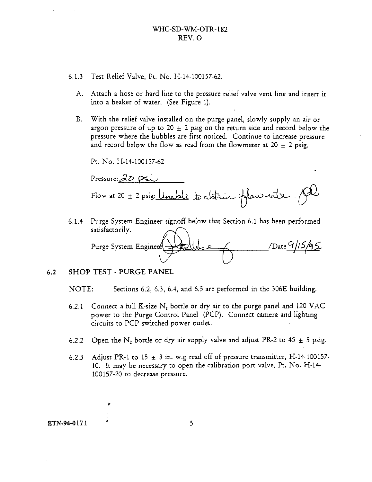- 6.1.3 Test Relief Valve, Pt. No. H-14-100157-62.
	- A. Attach a hose or hard line to the pressure relief valve vent line and insert it into a beaker of water. (See Figure 1).
	- B. With the relief valve installed on the purge panel, slowly supply an air or argon pressure of up to 20  $\pm$  2 psig on the return side and record below the pressure where the bubbles are first noticed. Continue to increase pressure and record below the flow as read from the flowmeter at 20  $\pm$  2 psig.

Pt. No. H-14-100157-62

Pressure:  $20 \, \text{pc}$ Flow at 20 ± 2 psig: *Unable to abtain flow nate*.

6.1.4 Purge System Engineer signoff below that Section 6.1 has been performed satisfactorily. Purge System Engineer > 1 Callebra Communication /Date 9/15/95

### 6.2 SHOP TEST - PURGE PANEL

NOTE: Sections 6.2, 6.3, 6.4, and 6.5 are performed in the 306E building.

- 6.2.1 Connect a full K-size N<sub>2</sub> bottle or dry air to the purge panel and 120 VAC power to the Purge Control Panel (PCP). Connect camera and lighting circuits to PCP switched power outlet.
- 6.2.2 Open the N<sub>2</sub> bottle or dry air supply valve and adjust PR-2 to 45  $\pm$  5 psig.
- 6.2.3 Adjust PR-1 to 15  $\pm$  3 in. w.g read off of pressure transmitter, H-14-100157-10. It may be necessary to open the calibration port valve, Pt. No. H-14- 100157-20 to decrease pressure.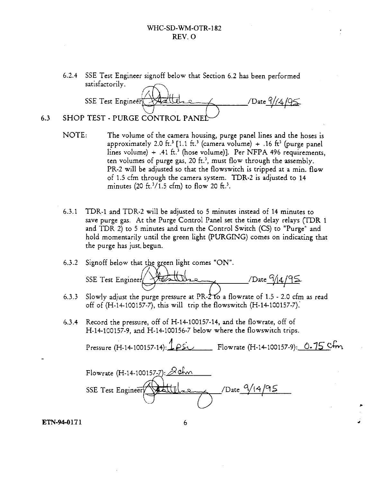6.2.4 SSE Test Engineer signoff below that Section 6.2 has been performed satisfactorily.

 $SSE$  Test Engineer  $\sqrt{440}$   $\sqrt{495}$ 6.3 SHOP TEST - PURGE CONTROL PANE

- NOTE: The volume of the camera housing, purge panel lines and the hoses is approximately 2.0 ft.<sup>3</sup> [1.1 ft.<sup>3</sup> (camera volume) + .16 ft<sup>3</sup> (purge panel lines volume) + .41 ft.<sup>3</sup> (hose volume)]. Per NFPA 496 requirements, ten volumes of purge gas, 20 ft.<sup>3</sup>, must flow through the assembly. PR-2 will be adjusted so that the flowswitch is tripped at a min. flow of 1.5 cfm through the camera system. TDR-2 is adjusted to 14 minutes (20 ft.<sup>3</sup>/1.5 cfm) to flow 20 ft.<sup>3</sup>.
- 6.3.1 TDR-1 and TDR-2 will be adjusted to 5 minutes instead of 14 minutes to save purge gas. At the Purge Control Panel set the time delay relays {TDR 1 and TDR 2) to 5 minutes and turn the Control Switch (CS) to "Purge"' and hold momentarily until the green light (PURGING) comes on indicating that the purge has just, begun.
- 6.3.2 Signoff below that the green light comes "ON".

 $SSE$  Test Engineer  $\sqrt{\frac{2\pi L_{\text{max}}}{\pi L_{\text{max}}}}$  /Date  $\frac{6}{44}$ 

- 6.3.3 Slowly adjust the purge pressure at PR- $2$  to a flowrate of 1.5 2.0 cfm as read off of  $(H-14-100157-7)$ , this will trip the flowswitch  $(H-14-100157-7)$ .
- 6.3.4 Record the pressure, off of H-14-100157-14, and the flowrate, off of H-14-100157-9, and H-14-100156-7 below where the flowswitch trips.

Pressure (H-14-100157-14): 1 ps. Flowrate (H-14-100157-9): 0.75 Cm

Flowrate  $(H-14-100157-7):$   $\partial$  afm SSE Test Engineer  $\sqrt{\frac{1}{100}}$  /Date  $\frac{9}{195}$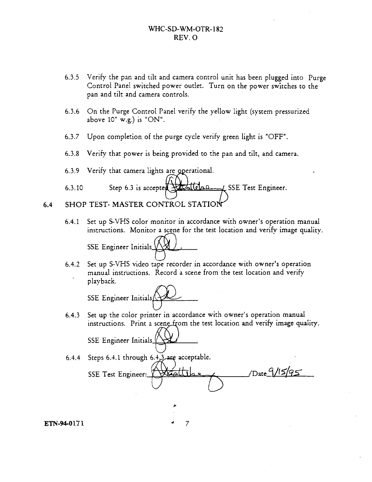- 6.3.5 Verify the pan and tilt and camera control unit has been plugged into Purge Control Panel switched power outlet. Turn on the power switches to the pan and tilt and camera controls.
- 6.3.6 On the Purge Control Panel verify the yellow light (system pressurized above  $10"$  w.g.) is "ON".
- 6.3.7 Upon completion of the purge cycle verify green light is "OFF".
- 6.3.8 Verify that power is being provided to the pan and tilt, and camera.

6.3.9 Verify that camera lights are operational.

- 6.3.10 Step 6.3 is accepted  $\frac{1}{2}$ **Step 0.4.4 SSE** Test Engineer.
- 6.4 SHOP TEST- MASTER CONTROL STATIO
	- 6.4.1 Set up S-VHS color monitor in accordance with owner's operation manual instructions. Monitor a scene for the test location and verify image quality.

SSE Engineer Initials

6.4.2 Set up S-VHS video tape recorder in accordance with owner's operation manual instructions. Record a scene from the test location and verify playback.

SSE Engineer Initials

- 6.4.3 Set up the color printer in accordance with owner's operation manual instructions. Print a scene from the test location and verify image quality. SSE Engineer Initials
- 6.4.4 Steps 6.4.1 through  $6.4,3.4$  are acceptable.

SSE Test Engineer: **filter Line 2 / /Date 9/15/95** 

 $\overline{7}$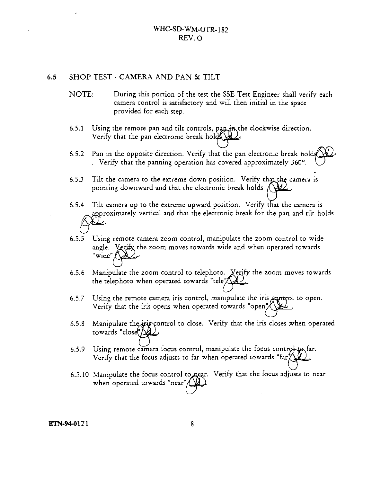#### 6.5 SHOP TEST - CAMERA AND PAN & TILT

- NOTE: During this portion of the test the SSE Test Engineer shall verify each camera control is satisfactory and will then initial in the space provided for each step.
- 6.5.1 Using the remote pan and tilt controls, paper, the clockwise direction. Verify that the pan electronic break holds
- 6.5.2 Pan in the opposite direction. Verify that the pan electronic break hold . Verify that the panning operation has covered approximately 360°.
- 6.5.3 Tilt the camera to the extreme down position. Verify that the camera is pointing downward and that the electronic break holds  $\Lambda$
- 6.5.4 Tilt camera up to the extreme upward position. Verify that the camera is approximately vertical and that the electronic break for the pan and tilt holds
- 6.5.5 Using remote camera zoom control, manipulate the zoom control to wide angle.  $\,$  Verify the zoom moves towards wide and when operated towards "wide" $\bigwedge$
- 6.5.6 Manipulate the zoom control to telephoto. Yegify the zoom moves towards the telephoto when operated towards "tele" $\bigotimes$
- 6.5.7 Using the remote camera iris control, manipulate the iris  $\epsilon$ **ontrol** to open. Verify that the iris opens when operated towards "open"/
- 6.5.8 Manipulate the iris control to close. Verify that the iris closes when operated towards "close( $\Delta$
- 6.5.9 Using remote camera focus control, manipulate the focus control to far. Verify that the focus adjusts to far when operated towards "far $\chi_{\mathbf{A}}$
- 6.5.10 Manipulate the focus control to near. Verify that the focus adjusts to near when operated towards "near"/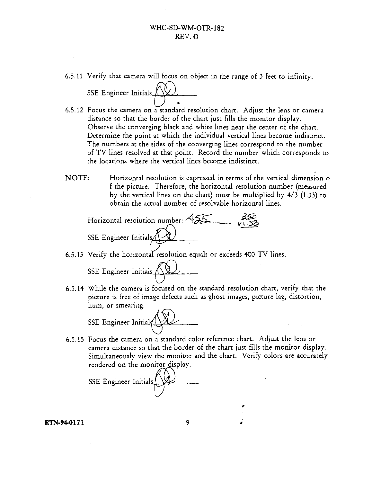6.5.11 Verify that camera will focus on object in the range of 3 feet to infinity.

SSE Engineer Initials. $\bigwedge$ 

- 6.5.12 Focus the camera on a standard resolution chart. Adjust the lens or camera distance so that the border of the chart just fills the monitor display. Observe the converging black and white lines near the center of the chart. Determine the point at which the individual vertical lines become indistinct. The numbers at the sides of the converging lines correspond to the number of TV lines resolved at that point. Record the number which corresponds to the locations where the vertical lines become indistinct.
- NOTE: Horizontal resolution is expressed in terms of the vertical dimension o f the picture. Therefore, the horizontal resolution number (measured by the vertical lines on the chart) must be multiplied by 4/3 (1.33) to obtain the actual number of resolvable horizontal lines.

Horizontal resolution number:  $\sqrt{25}$  ,  $\sqrt{33}$ SSE Engineer Initials $\Lambda$ 

6.5.13 Verify the horizontal resolution equals or exceeds 400 TV lines.

SSE Engineer Initials. (12)

6.5.14 While the camera is focused on the standard resolution chart, verify that the picture is free of image defects such as ghost images, picture lag, distortion, hum, or smearing.

SSE Engineer Initials

6.5.15 Focus the camera on a standard color reference chart. Adjust the lens or camera distance so that the border of the chart just fills the monitor display. Simultaneously view the monitor and the chart. Verify colors are accurately rendered on the monitor display.

SSE Engineer Initials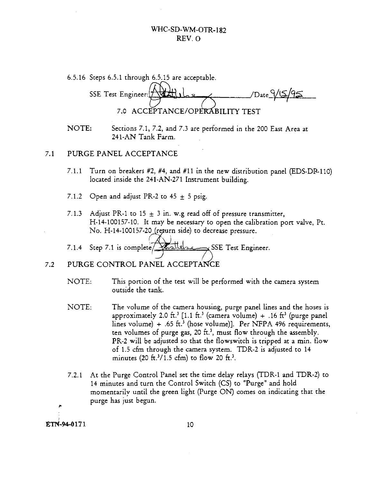| 6.5.16 Steps 6.5.1 through 6.5.15 are acceptable. |
|---------------------------------------------------|
| $v_{\text{Date}}$ 9/15/95                         |
| SSE Test Engineer: [7]<br><b>CARDINA</b>          |
| 7.0 ACCEPTANCE/OPERABILITY TEST                   |

NOTE: Sections 7.1, 7.2, and 7.3 are performed in the 200 East Area at 241-AN Tank Farm.

#### 7.1 PURGE PANEL ACCEPTANCE

- 7.1.1 Turn on breakers #2, #4, and #11 in the new distribution panel (EDS-DP-110) located inside the 241-AN-271 Instrument building.
- 7.1.2 Open and adjust PR-2 to 45  $\pm$  5 psig.
- 7.1.3 Adjust PR-1 to 15  $\pm$  3 in. w.g read off of pressure transmitter, H-14-100157-10. It may be necessary to open the calibration port valve, Pt. No. H-14-100157-20 (return side) to decrease pressure.
- 7.1.4 Step 7.1 is complete  $\sqrt{\frac{M}{M}}$

# 7.2 PURGE CONTROL PANEL ACCEPTANCE

- NOTE: This portion of the test will be performed with the camera system outside the tank.
- NOTE: The volume of the camera housing, purge panel lines and the hoses is approximately 2.0 ft.<sup>3</sup> [1.1 ft.<sup>3</sup> (camera volume) + .16 ft<sup>3</sup> (purge panel lines volume) + .65 ft.<sup>3</sup> (hose volume)]. Per NFPA 496 requirements, ten volumes of purge gas, 20 ft.<sup>3</sup>, must flow through the assembly. PR-2 will be adjusted so that the flowswitch is tripped at a min. flow of 1.5 cfm through the camera system. TDR-2 is adjusted to 14 minutes (20 ft.<sup>3</sup>/1.5 cfm) to flow 20 ft.<sup>3</sup>.
- 7.2.1 At the Purge Control Panel set the time delay relays (TDR-1 and TDR-2) to 14 minutes and turn the Control Switch (CS) to "Purge" and hold momentarily until the green light (Purge ON) comes on indicating that the purge has just begun.

ETN-94-0171 10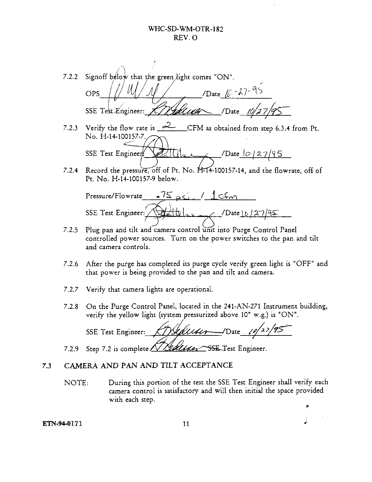7.2.2 Signoff below that the green light comes "ON". /Date  $10 - 27 - 95$ OPS *H*  $\frac{1}{2}$ /Date  $10/27$ csar SSE Test Engineer: 7.2.3 Verify the flow rate is *<sup>C</sup>^ <sup>L</sup>—* CFM as obtained from step 6.3.4 from Pt. No. H-14-100157-7. SSE Test Engineer/*\All*  $\frac{1}{2}$ . /Date  $\frac{10}{27}$  ?5 7.2.4 Record the pressure, off of Pt. No. H-14-100157-14, and the flowrate, off of Pt. No. H-14-100157-9 below. Pressure/Flowrate -  $75 \times 1$  /  $\leq$ SSE Test Engineer:  $\angle$  /Date <u>10/27/95</u> 7.2.5 Plug pan and tilt and camera control unit into Purge Control Panel controlled power sources. Turn on the power switches to the pan and. tilt and camera controls.

- 7.2.6 After the purge has completed its purge cycle verify green light is "OFF" and that power is being provided to the pan and tilt and camera.
- 7.2.7 Verify that camera lights are operational.
- 7.2.8 On the Purge Control Panel, located in the 241-AN-271 Instrument building, verify the yellow light (system pressurized above 10" w.g.) is "ON".

SSE Test Engineer: *KTYMALL44+* -- /Date 10/27/95

7.2.9 Step 7.2 is complete *NY Leller* SSE Test Engineer.

# 7.3 CAMERA AND PAN AND TILT ACCEPTANCE

NOTE: During this portion of the test the SSE Test Engineer shall verify each camera control is satisfactory and will then initial the space provided with each step.

*r\**

**ETN-94-0171** 11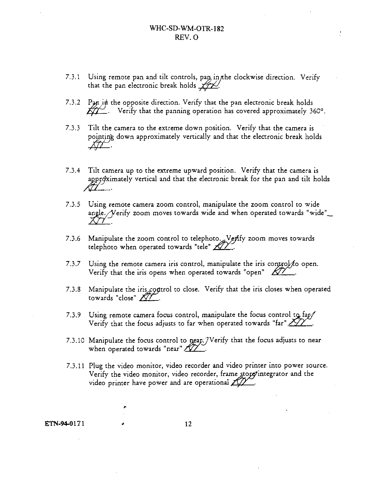- 7.3.1 Using remote pan and tilt controls, pan, in the clockwise direction. Verify that the pan electronic break holds  $\mathscr{H}\mathscr{L}'$ .
- $7.3.2$  Pan in the opposite direction. Verify that the pan electronic break holds *rgy* . Verify that the panning operation has covered approximately 360°.
- 7.3.3 Tilt the camera to the extreme down position. Verify that the camera is pointing down approximately vertically and that the electronic break holds
- 7.3.4 Tilt camera up to the extreme upward position. Verify that the camera is appr $\phi$ ximately vertical and that the electronic break for the pan and tilt holds *ML-*
- 7.3.5 Using remote camera zoom control, manipulate the zoom control to wide angle. Nerify zoom moves towards wide and when operated towards "wide"\_
- 7.3.6 Manipulate the zoom control to telephoto. ${}_{\mathscr{A}}\mathsf{V}\mathscr{g}\mathsf{f}\mathsf{f}\mathsf{y}$  zoom moves towards telephoto when operated towards "tele"  $Z\!\!\!Z\!\!\!Z$  .
- 7.3.7 Using the remote camera iris control, manipulate the iris control  $f$  open. Verify that the iris opens when operated towards "open"  $\cancel{X2}$ .
- 7.3.8 Manipulate the iris control to close. Verify that the iris closes when operated towards "close"  $\cancel{\mathcal{Q}^{\prime}}$ .
- 7.3.9 Using remote camera focus control, manipulate the focus control to  $\frac{fap}{}$ Verify that the focus adjusts to far when operated towards "far" *J*
- 7.3.10 Manipulate the focus control to near. / Verify that the focus adjusts to near when operated towards "near"  $\sqrt{V}$ .
- 7.3.11 Plug the video monitor, video recorder and video printer into power source. Verify the video monitor, video recorder, frame store integrator and the video printer have power and are operational  $ZZ^2$ .

ETN-94-0171 *\** 12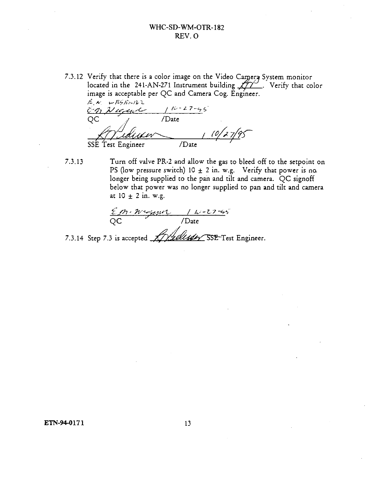7.3.12 Verify that there is a color image on the Video Camera System monitor located in the 241-AN-271 Instrument building  $\cancel{\cancel{11}}$ . Verify that color image is acceptable per QC and Camera Cog. Engineer.

*/LA,-* U- *R^/lt ^/M ~L*  $110 - 27 - 55$ En Nuevo **QC** /Date **77 1996 7 Julie 1996 7 Julie 1996 7 Julie 1996 7 Julie 1996 7 Julie 1996 7 Julie 1996 7 Julie 1996 7 Julie 19** 

7.3.13 Turn off valve PR-2 and allow the gas to bleed off to the setpoint on PS (low pressure switch) 10  $\pm$  2 in. w.g. Verify that power is no. longer being supplied to the pan and tilt and camera. QC signoff below that power was no longer supplied to pan and tilt and camera at  $10 \pm 2$  in. w.g.

$$
\frac{\mathcal{E} \mathcal{P} \cdot \mathcal{W} \cdot \mathcal{E} \cdot \mathcal{H} \cdot \mathcal{L}}{\text{QC} \qquad \qquad / \text{Date}}
$$

7.3.14 Step 7.3 is accepted *//)&&C4&S<sup>n</sup> SSE<sup>s</sup> YfXL* Engineer.

ETN-94-0171 13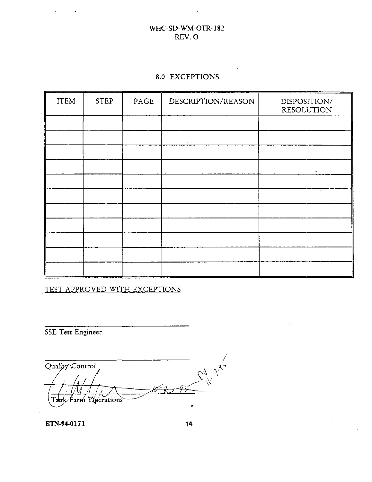# 8.0 EXCEPTIONS

| <b>ITEM</b> | <b>STEP</b> | PAGE | DESCRIPTION/REASON | DISPOSITION/<br><b>RESOLUTION</b> |
|-------------|-------------|------|--------------------|-----------------------------------|
|             |             |      |                    |                                   |
|             |             |      |                    |                                   |
|             |             |      |                    |                                   |
|             |             |      |                    |                                   |
|             |             |      |                    |                                   |
|             |             |      |                    |                                   |
|             |             |      |                    |                                   |
|             |             |      |                    |                                   |
|             |             |      |                    |                                   |
|             |             |      |                    |                                   |
|             |             |      |                    |                                   |

TEST APPROVED WITH EXCEPTIONS

SSE Test Engineer

 $\frac{1}{\sqrt{1-\frac{1}{2}}\sqrt{1-\frac{1}{2}}\sqrt{1-\frac{1}{2}}}}$ Quality Control *L*  $\overline{\phantom{a}}$ **Operations** Farm × ETN-94-0171 $14$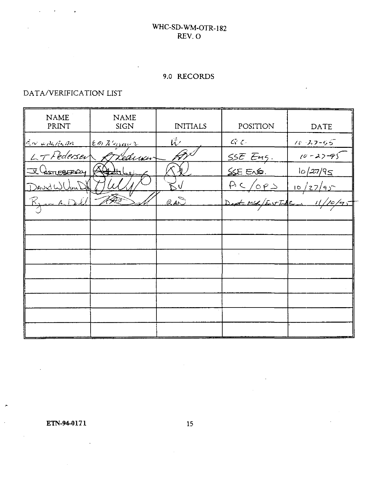# 9.0 RECORDS

 $\mathcal{A}$ 

 $\ddot{\phantom{a}}$ 

# DATA/VERIFICATION LIST

 $\mathcal{L}^{\mathcal{L}}(\mathcal{L}^{\mathcal{L}})$  and  $\mathcal{L}^{\mathcal{L}}(\mathcal{L}^{\mathcal{L}})$  and  $\mathcal{L}^{\mathcal{L}}(\mathcal{L}^{\mathcal{L}})$ 

| <b>NAME</b><br>PRINT                                                                                                                                                                                                                                                                                                                                                                         | <b>NAME</b><br><b>SIGN</b> | <b>INITIALS</b> | POSITION                                 | DATE           |
|----------------------------------------------------------------------------------------------------------------------------------------------------------------------------------------------------------------------------------------------------------------------------------------------------------------------------------------------------------------------------------------------|----------------------------|-----------------|------------------------------------------|----------------|
| $\frac{1}{2} \frac{1}{2} \frac{1}{2} \frac{1}{2} \frac{1}{2} \frac{1}{2} \frac{1}{2} \frac{1}{2} \frac{1}{2} \frac{1}{2} \frac{1}{2} \frac{1}{2} \frac{1}{2} \frac{1}{2} \frac{1}{2} \frac{1}{2} \frac{1}{2} \frac{1}{2} \frac{1}{2} \frac{1}{2} \frac{1}{2} \frac{1}{2} \frac{1}{2} \frac{1}{2} \frac{1}{2} \frac{1}{2} \frac{1}{2} \frac{1}{2} \frac{1}{2} \frac{1}{2} \frac{1}{2} \frac{$ | $\epsilon$ m Kuzavr        | ば               | $\mathcal{L}_i^{\tau_i}$ $\mathcal{L}_i$ | $10 - 27 - 55$ |
| $LT$ Pedersev                                                                                                                                                                                                                                                                                                                                                                                | Lediwi                     |                 | SSE Eng.                                 | $10 - 22 - 95$ |
| Je Casnesser                                                                                                                                                                                                                                                                                                                                                                                 | <del>≼√al ∡ll</del>        |                 | $SSE$ $EN$                               | 10/27/95       |
| <u> )AudW</u>                                                                                                                                                                                                                                                                                                                                                                                |                            |                 | $P_1 \subseteq \sqrt{OP} \ge$            | 10/27/95       |
| $K_{\text{max}}$ A, Dell                                                                                                                                                                                                                                                                                                                                                                     |                            | RAD             | Dest MG / East Informa                   | 11/10/95       |
|                                                                                                                                                                                                                                                                                                                                                                                              |                            |                 |                                          |                |
|                                                                                                                                                                                                                                                                                                                                                                                              |                            |                 |                                          |                |
|                                                                                                                                                                                                                                                                                                                                                                                              |                            |                 |                                          |                |
|                                                                                                                                                                                                                                                                                                                                                                                              |                            |                 |                                          |                |
|                                                                                                                                                                                                                                                                                                                                                                                              |                            |                 |                                          |                |
|                                                                                                                                                                                                                                                                                                                                                                                              |                            |                 |                                          |                |
|                                                                                                                                                                                                                                                                                                                                                                                              |                            |                 |                                          |                |
|                                                                                                                                                                                                                                                                                                                                                                                              |                            |                 |                                          |                |
|                                                                                                                                                                                                                                                                                                                                                                                              |                            |                 |                                          |                |

**ETN-94-0171** 15

 $\sim 10^6$ 

 $\bar{z}$ 

 $\overline{\phantom{a}}$ 

 $\hat{\mathcal{A}}$ 

 $\sim$ 

 $\sim$   $\sim$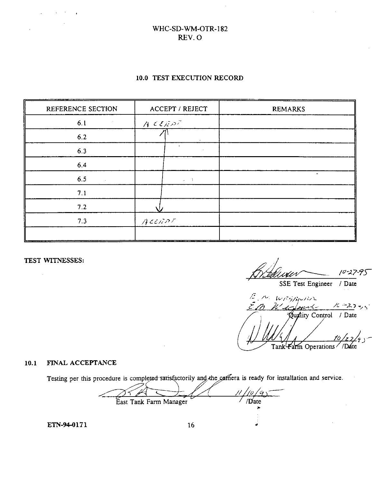#### **10.0 TEST EXECUTION RECORD**

| REFERENCE SECTION | ACCEPT / REJECT     | <b>REMARKS</b> |
|-------------------|---------------------|----------------|
| 6.1               | ACEEDF              |                |
| $6.2$             | $\epsilon$          |                |
| 6.3               | $\hat{\phantom{a}}$ |                |
| 6.4               |                     |                |
| 6.5               | $\omega_{\rm c}=1$  | $\sim$         |
| 7.1               |                     |                |
| $7.2$             |                     |                |
| 7.3               | $A$ ccnor           |                |
|                   |                     |                |

TEST WITNESSES:

10 -95

SSE Test Engineer / Date

E.M. WRGBpspr Wednes  $16 - 27 - 5$ Quality Control / Date Tank<sup>l</sup>Falm Operations //Date

#### **10.1 FINAL ACCEPTANCE**

Testing per this procedure is completed-satisfactorily and the caffiera is ready for installation and service.

'/0.  $^\prime$ GI 7  $\sqrt{\frac{1}{2}}$ East Tank Farm Manager

**ETN-94-0171** 16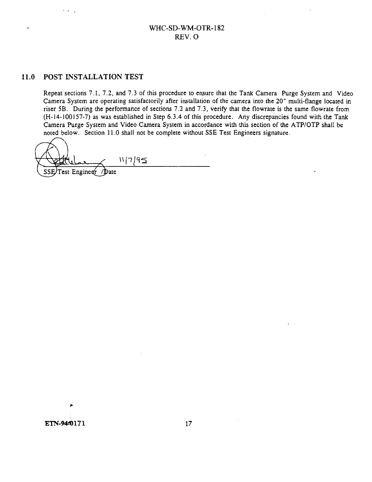#### 11.0 POST INSTALLATION TEST

Repeat sections 7.1, 7.2, and 7.3 of this procedure to ensure that the Tank Camera Purge System and Video Camera System are operating satisfactorily after installation of the camera into the 20" multi-flange located in riser 5B. During the performance of sections 7.2 and 7.3, verify that the flowrate is the same flowrate from (H-14-100157-7) as was established in Step 6.3.4 of this procedure. Any discrepancies found with the Tank Camera Purge System and Video Camera System in accordance with this section of the ATP/OTP shall be noted below. Section 11.0 shall not be complete without SSE Test Engineers signature.

 $11/7/95$ SSE/Test Engineur / Date

**ETN-94=0171** 17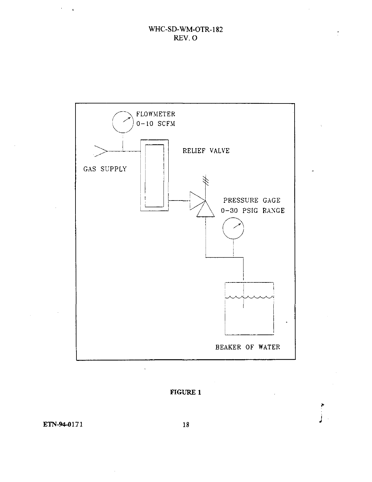Ŷ.



# **FIGURE 1**

**ETN-94-0171 18**

 $\mathcal{A}^{\text{max}}_{\text{max}}$